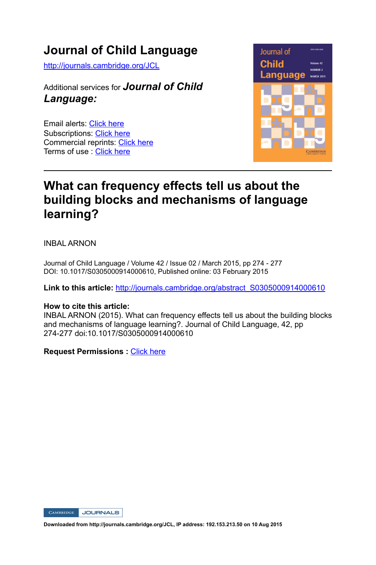# **Journal of Child Language**

http://journals.cambridge.org/JCL

Additional services for *Journal of Child Language:*

Email alerts: Click here Subscriptions: Click here Commercial reprints: Click here Terms of use : Click here



## **What can frequency effects tell us about the building blocks and mechanisms of language learning?**

INBAL ARNON

Journal of Child Language / Volume 42 / Issue 02 / March 2015, pp 274 - 277 DOI: 10.1017/S0305000914000610, Published online: 03 February 2015

Link to this article: http://journals.cambridge.org/abstract\_S0305000914000610

### **How to cite this article:**

INBAL ARNON (2015). What can frequency effects tell us about the building blocks and mechanisms of language learning?. Journal of Child Language, 42, pp 274-277 doi:10.1017/S0305000914000610

**Request Permissions :** Click here

CAMBRIDGE JOURNALS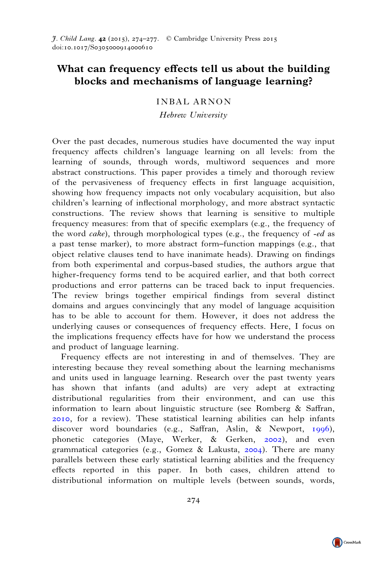## What can frequency effects tell us about the building blocks and mechanisms of language learning?

INBAL ARNON

Hebrew University

Over the past decades, numerous studies have documented the way input frequency affects children's language learning on all levels: from the learning of sounds, through words, multiword sequences and more abstract constructions. This paper provides a timely and thorough review of the pervasiveness of frequency effects in first language acquisition, showing how frequency impacts not only vocabulary acquisition, but also children's learning of inflectional morphology, and more abstract syntactic constructions. The review shows that learning is sensitive to multiple frequency measures: from that of specific exemplars (e.g., the frequency of the word *cake*), through morphological types (e.g., the frequency of *-ed* as a past tense marker), to more abstract form–function mappings (e.g., that object relative clauses tend to have inanimate heads). Drawing on findings from both experimental and corpus-based studies, the authors argue that higher-frequency forms tend to be acquired earlier, and that both correct productions and error patterns can be traced back to input frequencies. The review brings together empirical findings from several distinct domains and argues convincingly that any model of language acquisition has to be able to account for them. However, it does not address the underlying causes or consequences of frequency effects. Here, I focus on the implications frequency effects have for how we understand the process and product of language learning.

Frequency effects are not interesting in and of themselves. They are interesting because they reveal something about the learning mechanisms and units used in language learning. Research over the past twenty years has shown that infants (and adults) are very adept at extracting distributional regularities from their environment, and can use this information to learn about linguistic structure (see Romberg & Saffran, , for a review). These statistical learning abilities can help infants discover word boundaries (e.g., Saffran, Aslin,  $\&$  Newport, 1996), phonetic categories (Maye, Werker,  $\&$  Gerken, 2002), and even grammatical categories (e.g., Gomez & Lakusta, 2004). There are many parallels between these early statistical learning abilities and the frequency effects reported in this paper. In both cases, children attend to distributional information on multiple levels (between sounds, words,

 $274$ 

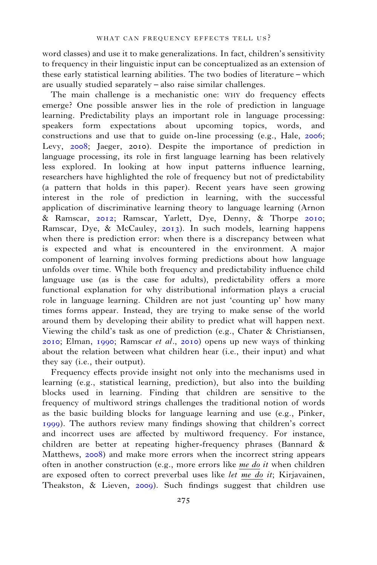word classes) and use it to make generalizations. In fact, children's sensitivity to frequency in their linguistic input can be conceptualized as an extension of these early statistical learning abilities. The two bodies of literature – which are usually studied separately – also raise similar challenges.

The main challenge is a mechanistic one: WHY do frequency effects emerge? One possible answer lies in the role of prediction in language learning. Predictability plays an important role in language processing: speakers form expectations about upcoming topics, words, and constructions and use that to guide on-line processing  $(e.g.,\text{ Hale, }2006;$ Levy, 2008; Jaeger, 2010). Despite the importance of prediction in language processing, its role in first language learning has been relatively less explored. In looking at how input patterns influence learning, researchers have highlighted the role of frequency but not of predictability (a pattern that holds in this paper). Recent years have seen growing interest in the role of prediction in learning, with the successful application of discriminative learning theory to language learning (Arnon & Ramscar, 2012; Ramscar, Yarlett, Dye, Denny, & Thorpe 2010; Ramscar, Dye, & McCauley,  $2013$ ). In such models, learning happens when there is prediction error: when there is a discrepancy between what is expected and what is encountered in the environment. A major component of learning involves forming predictions about how language unfolds over time. While both frequency and predictability influence child language use (as is the case for adults), predictability offers a more functional explanation for why distributional information plays a crucial role in language learning. Children are not just 'counting up' how many times forms appear. Instead, they are trying to make sense of the world around them by developing their ability to predict what will happen next. Viewing the child's task as one of prediction (e.g., Chater & Christiansen, 2010; Elman,  $1990$ ; Ramscar et al., 2010) opens up new ways of thinking about the relation between what children hear (i.e., their input) and what they say (i.e., their output).

Frequency effects provide insight not only into the mechanisms used in learning (e.g., statistical learning, prediction), but also into the building blocks used in learning. Finding that children are sensitive to the frequency of multiword strings challenges the traditional notion of words as the basic building blocks for language learning and use (e.g., Pinker, ). The authors review many findings showing that children's correct and incorrect uses are affected by multiword frequency. For instance, children are better at repeating higher-frequency phrases (Bannard & Matthews, 2008) and make more errors when the incorrect string appears often in another construction (e.g., more errors like *me do it* when children are exposed often to correct preverbal uses like let me do it; Kirjavainen, Theakston,  $\&$  Lieven, 2009). Such findings suggest that children use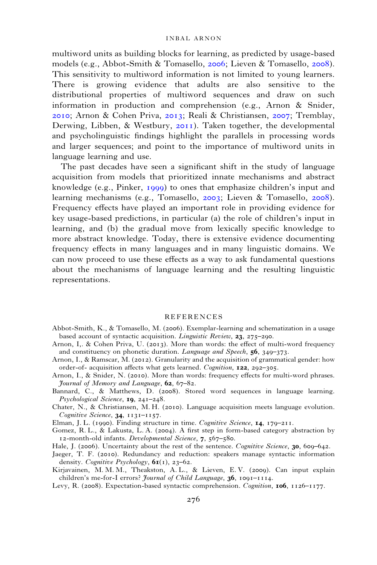#### INBAL ARNON

<span id="page-3-0"></span>multiword units as building blocks for learning, as predicted by usage-based models (e.g., Abbot-Smith & Tomasello, 2006; Lieven & Tomasello, 2008). This sensitivity to multiword information is not limited to young learners. There is growing evidence that adults are also sensitive to the distributional properties of multiword sequences and draw on such information in production and comprehension (e.g., Arnon & Snider, 2010; Arnon & Cohen Priva, 2013; Reali & Christiansen, 2007; Tremblay, Derwing, Libben,  $\&$  Westbury, 2011). Taken together, the developmental and psycholinguistic findings highlight the parallels in processing words and larger sequences; and point to the importance of multiword units in language learning and use.

The past decades have seen a significant shift in the study of language acquisition from models that prioritized innate mechanisms and abstract knowledge (e.g., Pinker,  $1999$ ) to ones that emphasize children's input and learning mechanisms (e.g., Tomasello,  $2003$ ; Lieven & Tomasello,  $2008$ ). Frequency effects have played an important role in providing evidence for key usage-based predictions, in particular (a) the role of children's input in learning, and (b) the gradual move from lexically specific knowledge to more abstract knowledge. Today, there is extensive evidence documenting frequency effects in many languages and in many linguistic domains. We can now proceed to use these effects as a way to ask fundamental questions about the mechanisms of language learning and the resulting linguistic representations.

### REFERENCES

- Abbot-Smith, K., & Tomasello, M. (2006). Exemplar-learning and schematization in a usage based account of syntactic acquisition. *Linguistic Review*,  $23$ ,  $275-290$ .
- Arnon, I,. & Cohen Priva, U. (2013). More than words: the effect of multi-word frequency and constituency on phonetic duration. Language and Speech,  $\overline{56}$ ,  $\overline{349}$ –373.
- Arnon, I., & Ramscar, M. (2012). Granularity and the acquisition of grammatical gender: how order-of- acquisition affects what gets learned. Cognition, 122, 292-305.
- Arnon, I., & Snider, N. (2010). More than words: frequency effects for multi-word phrases. Journal of Memory and Language,  $62, 67-82$ .
- Bannard, C., & Matthews, D. (2008). Stored word sequences in language learning.  $Psychological Science, **IQ**,  $241-248$ .$
- Chater, N., & Christiansen, M. H. (2010). Language acquisition meets language evolution. Cognitive Science,  $34$ ,  $1131 - 1157$ .
- Elman, J. L. (1990). Finding structure in time. Cognitive Science, 14, 179-211.
- Gomez, R. L., & Lakusta, L. A. (2004). A first step in form-based category abstraction by 12-month-old infants. Developmental Science, 7, 567-580.
- Hale, J. (2006). Uncertainty about the rest of the sentence. Cognitive Science,  $30$ , 609–642.
- Jaeger, T. F. (2010). Redundancy and reduction: speakers manage syntactic information density. Cognitive Psychology,  $6I(1)$ , 23-62.
- Kirjavainen, M. M. M., Theakston, A. L., & Lieven, E. V. (2009). Can input explain children's me-for-I errors? Journal of Child Language,  $36$ , 1091-1114.
- Levy, R. (2008). Expectation-based syntactic comprehension. Cognition,  $106$ ,  $1126 1177$ .